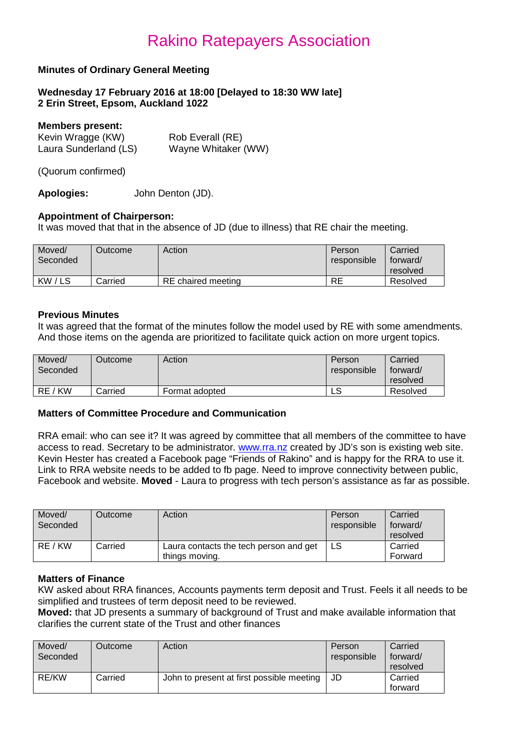### **Minutes of Ordinary General Meeting**

**Wednesday 17 February 2016 at 18:00 [Delayed to 18:30 WW late] 2 Erin Street, Epsom, Auckland 1022**

#### **Members present:**

| .<br>Kevin Wragge (KW) | Rob Everall (RE)    |
|------------------------|---------------------|
| Laura Sunderland (LS)  | Wayne Whitaker (WW) |

(Quorum confirmed)

**Apologies:** John Denton (JD).

### **Appointment of Chairperson:**

It was moved that that in the absence of JD (due to illness) that RE chair the meeting.

| Moved/<br>Seconded | Outcome | Action             | Person<br>responsible | Carried<br>forward/<br>resolved |
|--------------------|---------|--------------------|-----------------------|---------------------------------|
| KW/LS              | Carried | RE chaired meeting | <b>RE</b>             | Resolved                        |

#### **Previous Minutes**

It was agreed that the format of the minutes follow the model used by RE with some amendments. And those items on the agenda are prioritized to facilitate quick action on more urgent topics.

| Moved/<br>Seconded | <b>Dutcome</b> | Action         | Person<br>responsible | Carried<br>forward/<br>resolved |
|--------------------|----------------|----------------|-----------------------|---------------------------------|
| RE / KW            | Carried        | Format adopted | ∟ບ                    | Resolved                        |

### **Matters of Committee Procedure and Communication**

RRA email: who can see it? It was agreed by committee that all members of the committee to have access to read. Secretary to be administrator. [www.rra.nz](http://www.rra.nz/) created by JD's son is existing web site. Kevin Hester has created a Facebook page "Friends of Rakino" and is happy for the RRA to use it. Link to RRA website needs to be added to fb page. Need to improve connectivity between public, Facebook and website. **Moved** - Laura to progress with tech person's assistance as far as possible.

| Moved/<br>Seconded | Outcome | Action                                                   | Person<br>responsible | Carried<br>forward/<br>resolved |
|--------------------|---------|----------------------------------------------------------|-----------------------|---------------------------------|
| RE / KW            | Carried | Laura contacts the tech person and get<br>things moving. |                       | Carried<br>Forward              |

#### **Matters of Finance**

KW asked about RRA finances, Accounts payments term deposit and Trust. Feels it all needs to be simplified and trustees of term deposit need to be reviewed.

**Moved:** that JD presents a summary of background of Trust and make available information that clarifies the current state of the Trust and other finances

| Moved/<br>Seconded | Outcome | Action                                    | Person<br>responsible | Carried<br>forward/<br>resolved |
|--------------------|---------|-------------------------------------------|-----------------------|---------------------------------|
| RE/KW              | Carried | John to present at first possible meeting | JD                    | Carried<br>forward              |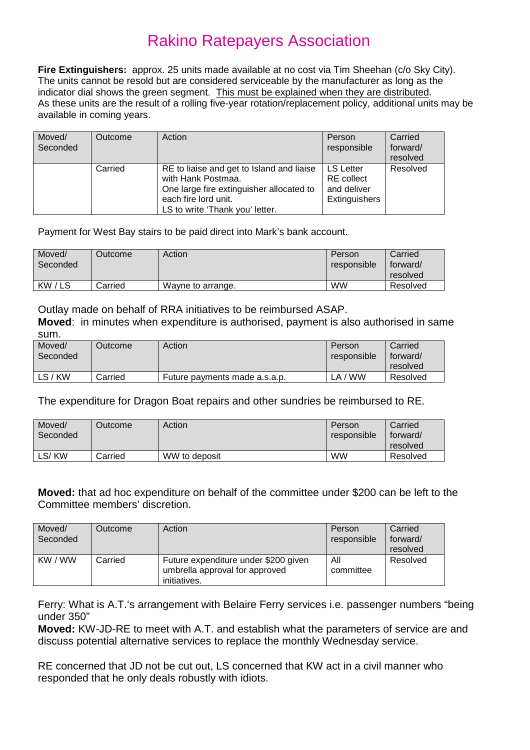**Fire Extinguishers:** approx. 25 units made available at no cost via Tim Sheehan (c/o Sky City). The units cannot be resold but are considered serviceable by the manufacturer as long as the indicator dial shows the green segment. This must be explained when they are distributed. As these units are the result of a rolling five-year rotation/replacement policy, additional units may be available in coming years.

| Moved/<br>Seconded | Outcome | Action                                                                                                                                                                 | Person<br>responsible                                                 | Carried<br>forward/<br>resolved |
|--------------------|---------|------------------------------------------------------------------------------------------------------------------------------------------------------------------------|-----------------------------------------------------------------------|---------------------------------|
|                    | Carried | RE to liaise and get to Island and liaise<br>with Hank Postmaa.<br>One large fire extinguisher allocated to<br>each fire lord unit.<br>LS to write 'Thank you' letter. | <b>LS Letter</b><br><b>RE</b> collect<br>and deliver<br>Extinguishers | Resolved                        |

Payment for West Bay stairs to be paid direct into Mark's bank account.

| Moved/<br>Seconded | Outcome | Action            | Person<br>responsible | Carried<br>forward/<br>resolved |
|--------------------|---------|-------------------|-----------------------|---------------------------------|
| KW/LS              | Carried | Wayne to arrange. | <b>WW</b>             | Resolved                        |

Outlay made on behalf of RRA initiatives to be reimbursed ASAP.

**Moved**: in minutes when expenditure is authorised, payment is also authorised in same sum.

| Moved/<br>Seconded | Outcome | Action                        | Person<br>responsible        | Carried<br>torward/<br>resolved |
|--------------------|---------|-------------------------------|------------------------------|---------------------------------|
| LS/KW              | Carried | Future payments made a.s.a.p. | <b>WW</b><br>LA <sub>1</sub> | Resolved                        |

The expenditure for Dragon Boat repairs and other sundries be reimbursed to RE.

| Moved/<br>Seconded | <b>Dutcome</b> | Action        | Person<br>responsible | Carried<br>forward/<br>resolved |
|--------------------|----------------|---------------|-----------------------|---------------------------------|
| ∟S/ KW             | Carried        | WW to deposit | <b>WW</b>             | Resolved                        |

**Moved:** that ad hoc expenditure on behalf of the committee under \$200 can be left to the Committee members' discretion.

| Moved/<br>Seconded | Outcome | Action                                                                                 | Person<br>responsible | Carried<br>forward/<br>resolved |
|--------------------|---------|----------------------------------------------------------------------------------------|-----------------------|---------------------------------|
| KW / WW            | Carried | Future expenditure under \$200 given<br>umbrella approval for approved<br>initiatives. | All<br>committee      | Resolved                        |

Ferry: What is A.T.'s arrangement with Belaire Ferry services i.e. passenger numbers "being under 350"

**Moved:** KW-JD-RE to meet with A.T. and establish what the parameters of service are and discuss potential alternative services to replace the monthly Wednesday service.

RE concerned that JD not be cut out, LS concerned that KW act in a civil manner who responded that he only deals robustly with idiots.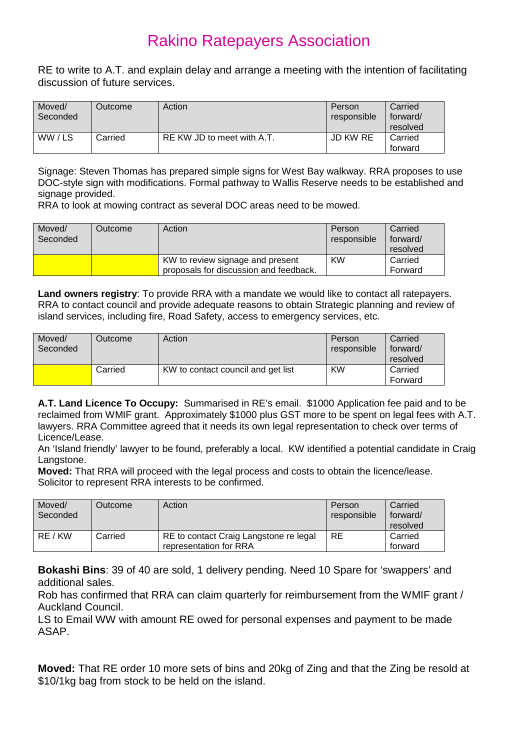RE to write to A.T. and explain delay and arrange a meeting with the intention of facilitating discussion of future services.

| Moved/<br>Seconded | Outcome | Action                     | Person<br>responsible | Carried<br>forward/<br>resolved |
|--------------------|---------|----------------------------|-----------------------|---------------------------------|
| WW/LS              | Carried | RE KW JD to meet with A.T. | JD KW RE              | Carried<br>forward              |

Signage: Steven Thomas has prepared simple signs for West Bay walkway. RRA proposes to use DOC-style sign with modifications. Formal pathway to Wallis Reserve needs to be established and signage provided.

RRA to look at mowing contract as several DOC areas need to be mowed.

| Moved/<br>Seconded | Outcome | Action                                                                     | Person<br>responsible | Carried<br>forward/<br>resolved |
|--------------------|---------|----------------------------------------------------------------------------|-----------------------|---------------------------------|
|                    |         | KW to review signage and present<br>proposals for discussion and feedback. | <b>KW</b>             | Carried<br>Forward              |

**Land owners registry**: To provide RRA with a mandate we would like to contact all ratepayers. RRA to contact council and provide adequate reasons to obtain Strategic planning and review of island services, including fire, Road Safety, access to emergency services, etc.

| Moved/<br>Seconded | Outcome | Action                             | Person<br>responsible | Carried<br>forward/<br>resolved |
|--------------------|---------|------------------------------------|-----------------------|---------------------------------|
|                    | Carried | KW to contact council and get list | <b>KW</b>             | Carried<br>Forward              |

**A.T. Land Licence To Occupy:** Summarised in RE's email. \$1000 Application fee paid and to be reclaimed from WMIF grant. Approximately \$1000 plus GST more to be spent on legal fees with A.T. lawyers. RRA Committee agreed that it needs its own legal representation to check over terms of Licence/Lease.

An 'Island friendly' lawyer to be found, preferably a local. KW identified a potential candidate in Craig Langstone.

**Moved:** That RRA will proceed with the legal process and costs to obtain the licence/lease. Solicitor to represent RRA interests to be confirmed.

| Moved/<br>Seconded | Outcome | Action                                                           | Person<br>responsible | Carried<br>forward/<br>resolved |
|--------------------|---------|------------------------------------------------------------------|-----------------------|---------------------------------|
| RE / KW            | Carried | RE to contact Craig Langstone re legal<br>representation for RRA | <b>RE</b>             | Carried<br>forward              |

**Bokashi Bins**: 39 of 40 are sold, 1 delivery pending. Need 10 Spare for 'swappers' and additional sales.

Rob has confirmed that RRA can claim quarterly for reimbursement from the WMIF grant / Auckland Council.

LS to Email WW with amount RE owed for personal expenses and payment to be made ASAP.

**Moved:** That RE order 10 more sets of bins and 20kg of Zing and that the Zing be resold at \$10/1kg bag from stock to be held on the island.